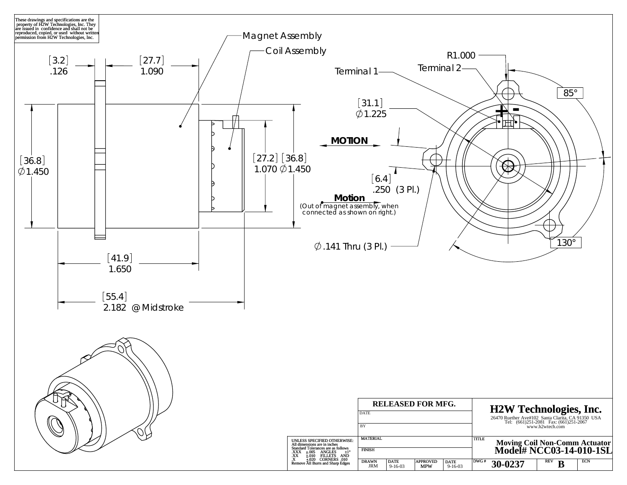